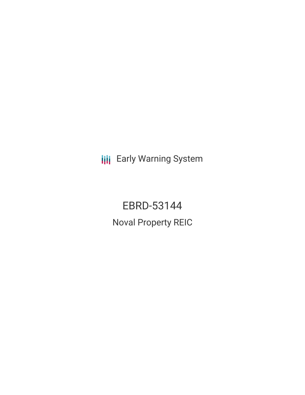**III** Early Warning System

EBRD-53144 Noval Property REIC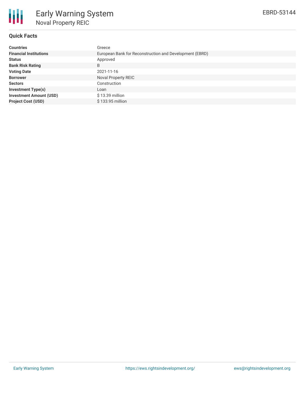

# **Quick Facts**

| <b>Countries</b>               | Greece                                                  |  |  |  |  |
|--------------------------------|---------------------------------------------------------|--|--|--|--|
| <b>Financial Institutions</b>  | European Bank for Reconstruction and Development (EBRD) |  |  |  |  |
| <b>Status</b>                  | Approved                                                |  |  |  |  |
| <b>Bank Risk Rating</b>        | B                                                       |  |  |  |  |
| <b>Voting Date</b>             | 2021-11-16                                              |  |  |  |  |
| <b>Borrower</b>                | Noval Property REIC                                     |  |  |  |  |
| <b>Sectors</b>                 | Construction                                            |  |  |  |  |
| <b>Investment Type(s)</b>      | Loan                                                    |  |  |  |  |
| <b>Investment Amount (USD)</b> | $$13.39$ million                                        |  |  |  |  |
| <b>Project Cost (USD)</b>      | \$133.95 million                                        |  |  |  |  |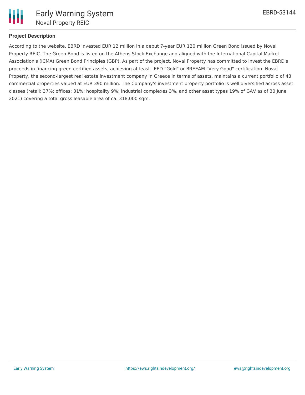

# **Project Description**

According to the website, EBRD invested EUR 12 million in a debut 7-year EUR 120 million Green Bond issued by Noval Property REIC. The Green Bond is listed on the Athens Stock Exchange and aligned with the International Capital Market Association's (ICMA) Green Bond Principles (GBP). As part of the project, Noval Property has committed to invest the EBRD's proceeds in financing green-certified assets, achieving at least LEED "Gold" or BREEAM "Very Good" certification. Noval Property, the second-largest real estate investment company in Greece in terms of assets, maintains a current portfolio of 43 commercial properties valued at EUR 390 million. The Company's investment property portfolio is well diversified across asset classes (retail: 37%; offices: 31%; hospitality 9%; industrial complexes 3%, and other asset types 19% of GAV as of 30 June 2021) covering a total gross leasable area of ca. 318,000 sqm.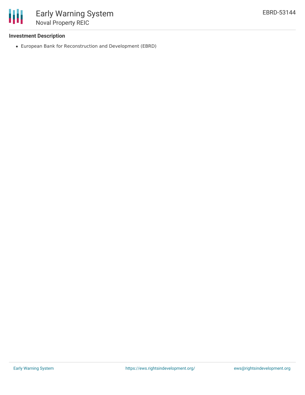

#### **Investment Description**

European Bank for Reconstruction and Development (EBRD)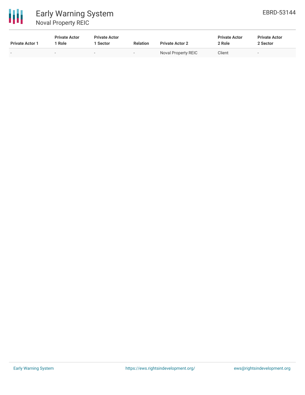

| <b>Private Actor 1</b> | <b>Private Actor</b><br>Role | <b>Private Actor</b><br>Sector | <b>Relation</b>          | <b>Private Actor 2</b> | <b>Private Actor</b><br>2 Role | <b>Private Actor</b><br>2 Sector |
|------------------------|------------------------------|--------------------------------|--------------------------|------------------------|--------------------------------|----------------------------------|
| -                      |                              | $\sim$                         | $\overline{\phantom{a}}$ | Noval Property REIC    | Client                         | $\overline{\phantom{a}}$         |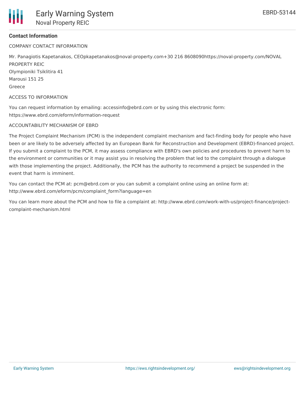

### **Contact Information**

COMPANY CONTACT INFORMATION

Mr. Panagiotis Kapetanakos, CEOpkapetanakos@noval-property.com+30 216 8608090https://noval-property.com/NOVAL PROPERTY REIC Olympioniki Tsiklitira 41 Marousi 151 25 Greece

ACCESS TO INFORMATION

You can request information by emailing: accessinfo@ebrd.com or by using this electronic form: https://www.ebrd.com/eform/information-request

#### ACCOUNTABILITY MECHANISM OF EBRD

The Project Complaint Mechanism (PCM) is the independent complaint mechanism and fact-finding body for people who have been or are likely to be adversely affected by an European Bank for Reconstruction and Development (EBRD)-financed project. If you submit a complaint to the PCM, it may assess compliance with EBRD's own policies and procedures to prevent harm to the environment or communities or it may assist you in resolving the problem that led to the complaint through a dialogue with those implementing the project. Additionally, the PCM has the authority to recommend a project be suspended in the event that harm is imminent.

You can contact the PCM at: pcm@ebrd.com or you can submit a complaint online using an online form at: http://www.ebrd.com/eform/pcm/complaint\_form?language=en

You can learn more about the PCM and how to file a complaint at: http://www.ebrd.com/work-with-us/project-finance/projectcomplaint-mechanism.html